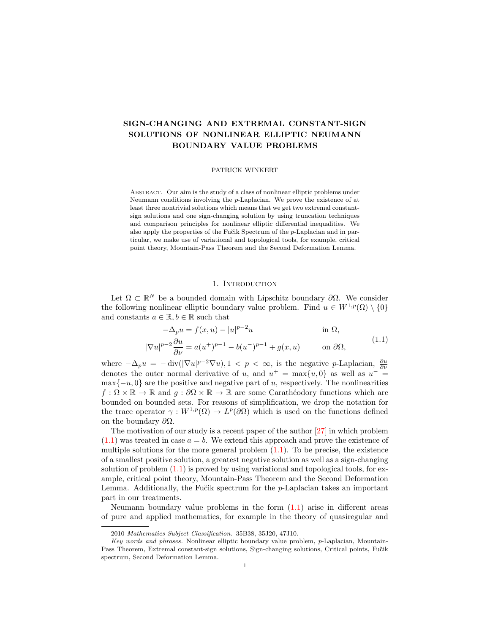# SIGN-CHANGING AND EXTREMAL CONSTANT-SIGN SOLUTIONS OF NONLINEAR ELLIPTIC NEUMANN BOUNDARY VALUE PROBLEMS

### PATRICK WINKERT

Abstract. Our aim is the study of a class of nonlinear elliptic problems under Neumann conditions involving the p-Laplacian. We prove the existence of at least three nontrivial solutions which means that we get two extremal constantsign solutions and one sign-changing solution by using truncation techniques and comparison principles for nonlinear elliptic differential inequalities. We also apply the properties of the Fučik Spectrum of the p-Laplacian and in particular, we make use of variational and topological tools, for example, critical point theory, Mountain-Pass Theorem and the Second Deformation Lemma.

## <span id="page-0-0"></span>1. INTRODUCTION

Let  $\Omega \subset \mathbb{R}^N$  be a bounded domain with Lipschitz boundary  $\partial \Omega$ . We consider the following nonlinear elliptic boundary value problem. Find  $u \in W^{1,p}(\Omega) \setminus \{0\}$ and constants  $a \in \mathbb{R}, b \in \mathbb{R}$  such that

$$
-\Delta_p u = f(x, u) - |u|^{p-2}u \qquad \text{in } \Omega,
$$
  

$$
|\nabla u|^{p-2} \frac{\partial u}{\partial \nu} = a(u^+)^{p-1} - b(u^-)^{p-1} + g(x, u) \qquad \text{on } \partial\Omega,
$$
 (1.1)

where  $-\Delta_p u = -\operatorname{div}(|\nabla u|^{p-2} \nabla u)$ ,  $1 < p < \infty$ , is the negative p-Laplacian,  $\frac{\partial u}{\partial \nu}$ denotes the outer normal derivative of u, and  $u^+ = \max\{u, 0\}$  as well as  $u^- =$  $\max\{-u, 0\}$  are the positive and negative part of u, respectively. The nonlinearities  $f : \Omega \times \mathbb{R} \to \mathbb{R}$  and  $q : \partial\Omega \times \mathbb{R} \to \mathbb{R}$  are some Carathéodory functions which are bounded on bounded sets. For reasons of simplification, we drop the notation for the trace operator  $\gamma: W^{1,p}(\Omega) \to L^p(\partial\Omega)$  which is used on the functions defined on the boundary  $\partial\Omega$ .

The motivation of our study is a recent paper of the author [\[27\]](#page-17-0) in which problem  $(1.1)$  was treated in case  $a = b$ . We extend this approach and prove the existence of multiple solutions for the more general problem  $(1.1)$ . To be precise, the existence of a smallest positive solution, a greatest negative solution as well as a sign-changing solution of problem  $(1.1)$  is proved by using variational and topological tools, for example, critical point theory, Mountain-Pass Theorem and the Second Deformation Lemma. Additionally, the Fučik spectrum for the p-Laplacian takes an important part in our treatments.

Neumann boundary value problems in the form [\(1.1\)](#page-0-0) arise in different areas of pure and applied mathematics, for example in the theory of quasiregular and

<sup>2010</sup> Mathematics Subject Classification. 35B38, 35J20, 47J10.

Key words and phrases. Nonlinear elliptic boundary value problem, p-Laplacian, Mountain-Pass Theorem, Extremal constant-sign solutions, Sign-changing solutions, Critical points, Fučik spectrum, Second Deformation Lemma.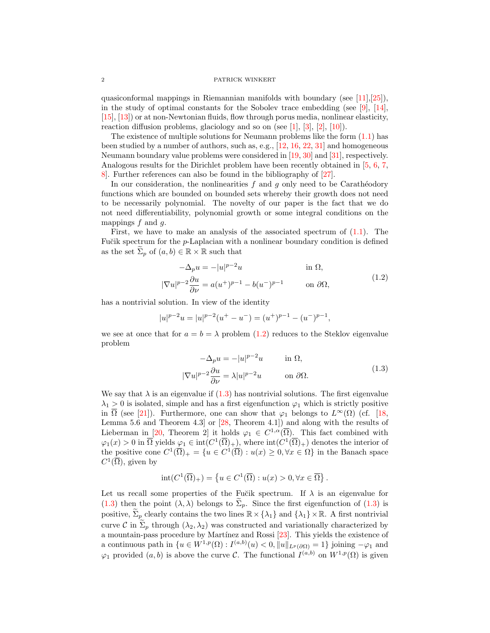quasiconformal mappings in Riemannian manifolds with boundary (see  $[11],[25]$  $[11],[25]$  $[11],[25]$ ), in the study of optimal constants for the Sobolev trace embedding (see [\[9\]](#page-16-1),  $[14]$ , [\[15\]](#page-17-3), [\[13\]](#page-16-2)) or at non-Newtonian fluids, flow through porus media, nonlinear elasticity, reaction diffusion problems, glaciology and so on (see  $[1]$ ,  $[3]$ ,  $[2]$ ,  $[10]$ ).

The existence of multiple solutions for Neumann problems like the form  $(1.1)$  has been studied by a number of authors, such as, e.g., [\[12,](#page-16-7) [16,](#page-17-4) [22,](#page-17-5) [31\]](#page-17-6) and homogeneous Neumann boundary value problems were considered in [\[19,](#page-17-7) [30\]](#page-17-8) and [\[31\]](#page-17-6), respectively. Analogous results for the Dirichlet problem have been recently obtained in [\[5,](#page-16-8) [6,](#page-16-9) [7,](#page-16-10) [8\]](#page-16-11). Further references can also be found in the bibliography of [\[27\]](#page-17-0).

In our consideration, the nonlinearities  $f$  and  $g$  only need to be Carathéodory functions which are bounded on bounded sets whereby their growth does not need to be necessarily polynomial. The novelty of our paper is the fact that we do not need differentiability, polynomial growth or some integral conditions on the mappings  $f$  and  $g$ .

First, we have to make an analysis of the associated spectrum of  $(1.1)$ . The Fu $\check{c}$ ik spectrum for the *p*-Laplacian with a nonlinear boundary condition is defined as the set  $\Sigma_p$  of  $(a, b) \in \mathbb{R} \times \mathbb{R}$  such that

$$
-\Delta_p u = -|u|^{p-2}u \qquad \text{in } \Omega,
$$
  

$$
|\nabla u|^{p-2} \frac{\partial u}{\partial \nu} = a(u^+)^{p-1} - b(u^-)^{p-1} \qquad \text{on } \partial\Omega,
$$
 (1.2)

has a nontrivial solution. In view of the identity

$$
|u|^{p-2}u=|u|^{p-2}\big(u^+-u^-\big)=(u^+)^{p-1}-(u^-)^{p-1},
$$

we see at once that for  $a = b = \lambda$  problem [\(1.2\)](#page-1-0) reduces to the Steklov eigenvalue problem

<span id="page-1-1"></span><span id="page-1-0"></span>
$$
-\Delta_p u = -|u|^{p-2}u \qquad \text{in } \Omega,
$$
  

$$
|\nabla u|^{p-2} \frac{\partial u}{\partial \nu} = \lambda |u|^{p-2}u \qquad \text{on } \partial \Omega.
$$
 (1.3)

We say that  $\lambda$  is an eigenvalue if  $(1.3)$  $(1.3)$  has nontrivial solutions. The first eigenvalue  $\lambda_1 > 0$  is isolated, simple and has a first eigenfunction  $\varphi_1$  which is strictly positive in  $\overline{\Omega}$  (see [\[21\]](#page-17-9)). Furthermore, one can show that  $\varphi_1$  belongs to  $L^{\infty}(\Omega)$  (cf. [\[18,](#page-17-10) Lemma 5.6 and Theorem 4.3] or [\[28,](#page-17-11) Theorem 4.1]) and along with the results of Lieberman in [\[20,](#page-17-12) Theorem 2] it holds  $\varphi_1 \in C^{1,\alpha}(\overline{\Omega})$ . This fact combined with  $\varphi_1(x) > 0$  in  $\overline{\Omega}$  yields  $\varphi_1 \in \text{int}(C^1(\overline{\Omega})_+)$ , where  $\text{int}(C^1(\overline{\Omega})_+)$  denotes the interior of the positive cone  $C^1(\overline{\Omega})_+ = \{u \in C^1(\overline{\Omega}) : u(x) \geq 0, \forall x \in \Omega\}$  in the Banach space  $C^1(\overline{\Omega})$ , given by

$$
int(C^1(\overline{\Omega})_+) = \left\{ u \in C^1(\overline{\Omega}) : u(x) > 0, \forall x \in \overline{\Omega} \right\}.
$$

Let us recall some properties of the Fučik spectrum. If  $\lambda$  is an eigenvalue for [\(1.3\)](#page-1-1) then the point  $(\lambda, \lambda)$  belongs to  $\Sigma_p$ . Since the first eigenfunction of (1.3) is positive,  $\sum_{p}$  clearly contains the two lines  $\mathbb{R}\times\{\lambda_1\}$  and  $\{\lambda_1\}\times\mathbb{R}$ . A first nontrivial curve C in  $\tilde{\Sigma}_p$  through  $(\lambda_2, \lambda_2)$  was constructed and variationally characterized by a mountain-pass procedure by Martínez and Rossi [\[23\]](#page-17-13). This yields the existence of a continuous path in  $\{u \in W^{1,p}(\Omega) : I^{(a,b)}(u) < 0, \|u\|_{L^p(\partial\Omega)} = 1\}$  joining  $-\varphi_1$  and  $\varphi_1$  provided  $(a, b)$  is above the curve C. The functional  $I^{(a,b)}$  on  $W^{1,p}(\Omega)$  is given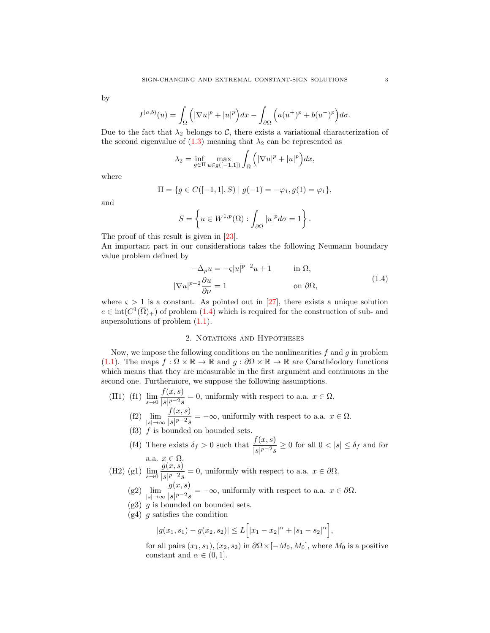by

$$
I^{(a,b)}(u) = \int_{\Omega} \left( |\nabla u|^p + |u|^p \right) dx - \int_{\partial \Omega} \left( a(u^+)^p + b(u^-)^p \right) d\sigma.
$$

Due to the fact that  $\lambda_2$  belongs to C, there exists a variational characterization of the second eigenvalue of  $(1.3)$  meaning that  $\lambda_2$  can be represented as

$$
\lambda_2 = \inf_{g \in \Pi} \max_{u \in g([-1,1])} \int_{\Omega} \left( |\nabla u|^p + |u|^p \right) dx,
$$

where

$$
\Pi = \{ g \in C([-1, 1], S) \mid g(-1) = -\varphi_1, g(1) = \varphi_1 \},
$$

and

$$
S = \left\{ u \in W^{1,p}(\Omega) : \int_{\partial \Omega} |u|^p d\sigma = 1 \right\}.
$$

The proof of this result is given in [\[23\]](#page-17-13).

An important part in our considerations takes the following Neumann boundary value problem defined by

<span id="page-2-0"></span>
$$
-\Delta_p u = -\varsigma |u|^{p-2}u + 1 \qquad \text{in } \Omega,
$$
  

$$
|\nabla u|^{p-2} \frac{\partial u}{\partial \nu} = 1 \qquad \text{on } \partial \Omega,
$$
 (1.4)

where  $\varsigma > 1$  is a constant. As pointed out in [\[27\]](#page-17-0), there exists a unique solution  $e \in \text{int}(C^1(\overline{\Omega})_+)$  of problem  $(1.4)$  which is required for the construction of sub- and supersolutions of problem  $(1.1)$ .

## 2. Notations and Hypotheses

Now, we impose the following conditions on the nonlinearities  $f$  and  $g$  in problem [\(1.1\)](#page-0-0). The maps  $f : \Omega \times \mathbb{R} \to \mathbb{R}$  and  $g : \partial \Omega \times \mathbb{R} \to \mathbb{R}$  are Carathéodory functions which means that they are measurable in the first argument and continuous in the second one. Furthermore, we suppose the following assumptions.

(H1) (f1)  $\lim_{s \to 0} \frac{f(x, s)}{|s|^{p-2} s}$  $\frac{\partial f(x, y)}{\partial |s|^{p-2}s} = 0$ , uniformly with respect to a.a.  $x \in \Omega$ . (f2)  $\lim \frac{f(x, s)}{\log s} = -\infty$ , uniformly with respect to a.a.  $x \in \Omega$ .

$$
\lim_{|s| \to \infty} \frac{\sqrt{x}}{|s|^{p-2} s} = -\infty, \text{ uniformly with respect to a.a. } x \in \Omega.
$$

- $(f3)$   $f$  is bounded on bounded sets.
- (f4) There exists  $\delta_f > 0$  such that  $\frac{f(x, s)}{|s|^{p-2} s} \ge 0$  for all  $0 < |s| \le \delta_f$  and for a.a.  $x \in \Omega$ .

(H2) (g1) 
$$
\lim_{s \to 0} \frac{g(x, s)}{|s|^{p-2} s} = 0
$$
, uniformly with respect to a.a.  $x \in \partial \Omega$ .

- $(g2)$   $\lim_{|s|\to\infty}$  $g(x, s)$  $\frac{g(x, y)}{|s|^{p-2}s} = -\infty$ , uniformly with respect to a.a.  $x \in \partial\Omega$ .
- $(g3)$  g is bounded on bounded sets.
- $(g4)$  g satisfies the condition

$$
|g(x_1, s_1) - g(x_2, s_2)| \le L\Big[|x_1 - x_2|^{\alpha} + |s_1 - s_2|^{\alpha}\Big],
$$

for all pairs  $(x_1, s_1), (x_2, s_2)$  in  $\partial\Omega \times [-M_0, M_0]$ , where  $M_0$  is a positive constant and  $\alpha \in (0, 1]$ .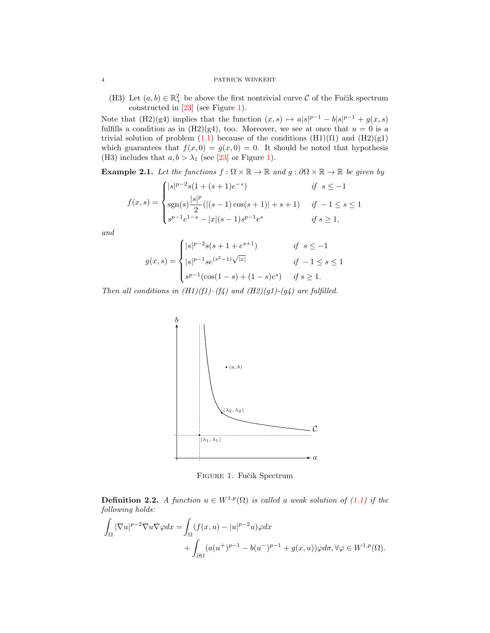(H3) Let  $(a, b) \in \mathbb{R}^2_+$  be above the first nontrivial curve C of the Fučik spectrum constructed in [\[23\]](#page-17-13) (see Figure [1\)](#page-3-0).

Note that (H2)(g4) implies that the function  $(x, s) \mapsto a|s|^{p-1} - b|s|^{p-1} + g(x, s)$ fulfills a condition as in  $(H2)(g4)$ , too. Moreover, we see at once that  $u = 0$  is a trivial solution of problem  $(1.1)$  because of the conditions  $(H1)(f1)$  and  $(H2)(g1)$ which guarantees that  $f(x, 0) = g(x, 0) = 0$ . It should be noted that hypothesis (H3) includes that  $a, b > \lambda_1$  (see [\[23\]](#page-17-13) or Figure [1\)](#page-3-0).

**Example 2.1.** Let the functions  $f : \Omega \times \mathbb{R} \to \mathbb{R}$  and  $g : \partial \Omega \times \mathbb{R} \to \mathbb{R}$  be given by

$$
f(x,s) = \begin{cases} |s|^{p-2}s(1+(s+1)e^{-s}) & \text{if } s \le -1\\ \text{sgn}(s)\frac{|s|^p}{2}(|(s-1)\cos(s+1)|+s+1) & \text{if } -1 \le s \le 1\\ s^{p-1}e^{1-s}-|x|(s-1)s^{p-1}e^s & \text{if } s \ge 1, \end{cases}
$$

and

$$
g(x,s) = \begin{cases} |s|^{p-2}s(s+1+e^{s+1}) & \text{if } s \le -1\\ |s|^{p-1}se^{(s^2-1)\sqrt{|x|}} & \text{if } -1 \le s \le 1\\ s^{p-1}(\cos(1-s)+(1-s)e^s) & \text{if } s \ge 1. \end{cases}
$$

Then all conditions in  $(H1)(f1)$ – $(f4)$  and  $(H2)(g1)$ – $(g4)$  are fulfilled.



<span id="page-3-0"></span>FIGURE 1. Fučik Spectrum

<span id="page-3-1"></span>**Definition 2.2.** A function  $u \in W^{1,p}(\Omega)$  is called a weak solution of [\(1.1\)](#page-0-0) if the following holds:

$$
\int_{\Omega} |\nabla u|^{p-2} \nabla u \nabla \varphi dx = \int_{\Omega} (f(x, u) - |u|^{p-2} u) \varphi dx \n+ \int_{\partial \Omega} (a(u^+)^{p-1} - b(u^-)^{p-1} + g(x, u)) \varphi d\sigma, \forall \varphi \in W^{1, p}(\Omega).
$$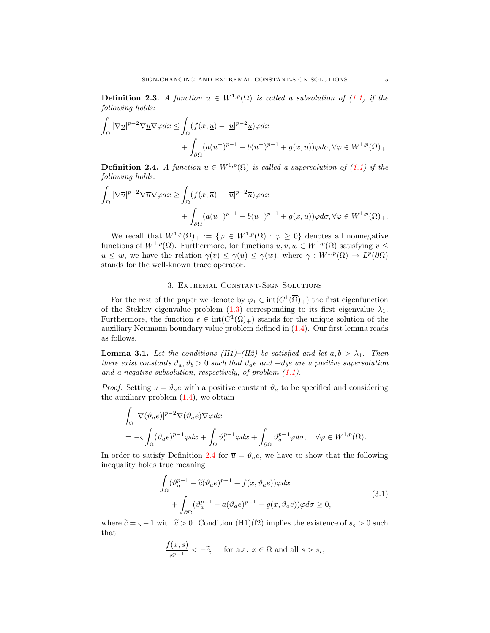<span id="page-4-2"></span>**Definition 2.3.** A function  $\underline{u} \in W^{1,p}(\Omega)$  is called a subsolution of [\(1.1\)](#page-0-0) if the following holds:

$$
\int_{\Omega} |\nabla \underline{u}|^{p-2} \nabla \underline{u} \nabla \varphi dx \le \int_{\Omega} (f(x, \underline{u}) - |\underline{u}|^{p-2} \underline{u}) \varphi dx + \int_{\partial \Omega} (a(\underline{u}^+)^{p-1} - b(\underline{u}^-)^{p-1} + g(x, \underline{u})) \varphi d\sigma, \forall \varphi \in W^{1,p}(\Omega)_+.
$$

<span id="page-4-0"></span>**Definition 2.4.** A function  $\overline{u} \in W^{1,p}(\Omega)$  is called a supersolution of [\(1.1\)](#page-0-0) if the following holds:

$$
\int_{\Omega} |\nabla \overline{u}|^{p-2} \nabla \overline{u} \nabla \varphi dx \ge \int_{\Omega} (f(x, \overline{u}) - |\overline{u}|^{p-2} \overline{u}) \varphi dx + \int_{\partial \Omega} (a(\overline{u}^+)^{p-1} - b(\overline{u}^-)^{p-1} + g(x, \overline{u})) \varphi d\sigma, \forall \varphi \in W^{1, p}(\Omega)_{+}.
$$

We recall that  $W^{1,p}(\Omega)_+ := \{ \varphi \in W^{1,p}(\Omega) : \varphi \geq 0 \}$  denotes all nonnegative functions of  $W^{1,p}(\Omega)$ . Furthermore, for functions  $u, v, w \in W^{1,p}(\Omega)$  satisfying  $v \leq$  $u \leq w$ , we have the relation  $\gamma(v) \leq \gamma(u) \leq \gamma(w)$ , where  $\gamma: W^{1,p}(\Omega) \to L^p(\partial\Omega)$ stands for the well-known trace operator.

## 3. Extremal Constant-Sign Solutions

For the rest of the paper we denote by  $\varphi_1 \in \text{int}(C^1(\overline{\Omega})_+)$  the first eigenfunction of the Steklov eigenvalue problem  $(1.3)$  corresponding to its first eigenvalue  $\lambda_1$ . Furthermore, the function  $e \in \text{int}(C^1(\overline{\Omega})_+)$  stands for the unique solution of the auxiliary Neumann boundary value problem defined in [\(1.4\)](#page-2-0). Our first lemma reads as follows.

<span id="page-4-3"></span>**Lemma 3.1.** Let the conditions (H1)–(H2) be satisfied and let  $a, b > \lambda_1$ . Then there exist constants  $\vartheta_a, \vartheta_b > 0$  such that  $\vartheta_a e$  and  $-\vartheta_b e$  are a positive supersolution and a negative subsolution, respectively, of problem  $(1.1)$ .

*Proof.* Setting  $\bar{u} = \vartheta_a e$  with a positive constant  $\vartheta_a$  to be specified and considering the auxiliary problem  $(1.4)$ , we obtain

$$
\begin{aligned} &\int_{\Omega} |\nabla(\vartheta_a e)|^{p-2} \nabla(\vartheta_a e) \nabla \varphi dx \\ &= -\varsigma \int_{\Omega} (\vartheta_a e)^{p-1} \varphi dx + \int_{\Omega} \vartheta_a^{p-1} \varphi dx + \int_{\partial \Omega} \vartheta_a^{p-1} \varphi d\sigma, \quad \forall \varphi \in W^{1,p}(\Omega). \end{aligned}
$$

In order to satisfy Definition [2.4](#page-4-0) for  $\overline{u} = \vartheta_a e$ , we have to show that the following inequality holds true meaning

$$
\int_{\Omega} (\vartheta_a^{p-1} - \tilde{c}(\vartheta_a e)^{p-1} - f(x, \vartheta_a e))\varphi dx \n+ \int_{\partial\Omega} (\vartheta_a^{p-1} - a(\vartheta_a e)^{p-1} - g(x, \vartheta_a e))\varphi d\sigma \ge 0,
$$
\n(3.1)

where  $\tilde{c} = \varsigma - 1$  with  $\tilde{c} > 0$ . Condition (H1)(f2) implies the existence of  $s_{\varsigma} > 0$  such that

<span id="page-4-1"></span>
$$
\frac{f(x,s)}{s^{p-1}} < -\tilde{c}, \quad \text{ for a.a. } x \in \Omega \text{ and all } s > s_{\varsigma},
$$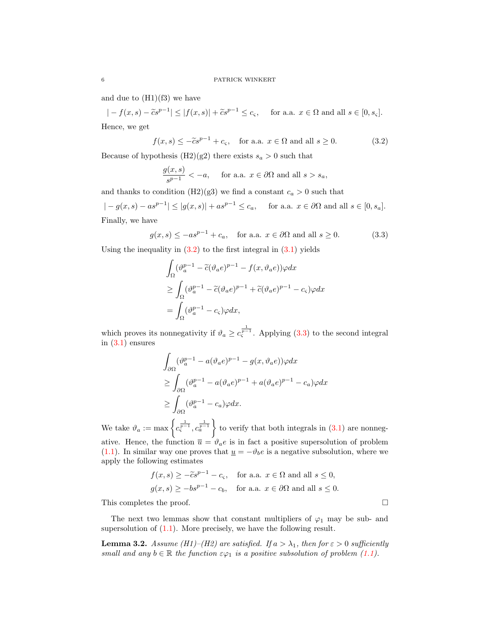and due to  $(H1)(f3)$  we have

$$
|-f(x,s)-\widetilde{c}s^{p-1}| \leq |f(x,s)|+\widetilde{c}s^{p-1} \leq c_{\varsigma}, \quad \text{ for a.a. } x \in \Omega \text{ and all } s \in [0, s_{\varsigma}].
$$

Hence, we get

$$
f(x,s) \le -\tilde{c}s^{p-1} + c_{\varsigma}, \quad \text{for a.a. } x \in \Omega \text{ and all } s \ge 0.
$$
 (3.2)

Because of hypothesis (H2)(g2) there exists  $s_a > 0$  such that

<span id="page-5-0"></span>
$$
\frac{g(x,s)}{s^{p-1}} < -a, \quad \text{ for a.a. } x \in \partial\Omega \text{ and all } s > s_a,
$$

and thanks to condition (H2)(g3) we find a constant  $c_a > 0$  such that

 $|-g(x, s) - as^{p-1}| \le |g(x, s)| + as^{p-1} \le c_a$ , for a.a.  $x \in \partial\Omega$  and all  $s \in [0, s_a]$ . Finally, we have

$$
g(x, s) \le -as^{p-1} + c_a
$$
, for a.a.  $x \in \partial\Omega$  and all  $s \ge 0$ . (3.3)

Using the inequality in  $(3.2)$  to the first integral in  $(3.1)$  yields

<span id="page-5-1"></span>
$$
\begin{aligned} &\int_{\Omega} (\vartheta_a^{p-1} - \widetilde{c}(\vartheta_a e)^{p-1} - f(x, \vartheta_a e)) \varphi dx \\ &\geq \int_{\Omega} (\vartheta_a^{p-1} - \widetilde{c}(\vartheta_a e)^{p-1} + \widetilde{c}(\vartheta_a e)^{p-1} - c_{\varsigma}) \varphi dx \\ &= \int_{\Omega} (\vartheta_a^{p-1} - c_{\varsigma}) \varphi dx, \end{aligned}
$$

which proves its nonnegativity if  $\vartheta_a \geq c_s^{\frac{1}{p-1}}$ . Applying [\(3.3\)](#page-5-1) to the second integral in [\(3.1\)](#page-4-1) ensures

$$
\int_{\partial\Omega} (\vartheta_a^{p-1} - a(\vartheta_a e)^{p-1} - g(x, \vartheta_a e))\varphi dx
$$
  
\n
$$
\geq \int_{\partial\Omega} (\vartheta_a^{p-1} - a(\vartheta_a e)^{p-1} + a(\vartheta_a e)^{p-1} - c_a)\varphi dx
$$
  
\n
$$
\geq \int_{\partial\Omega} (\vartheta_a^{p-1} - c_a)\varphi dx.
$$

We take  $\vartheta_a := \max \left\{ c_s^{\frac{1}{p-1}}, c_a^{\frac{1}{p-1}} \right\}$  to verify that both integrals in [\(3.1\)](#page-4-1) are nonnegative. Hence, the function  $\bar{u} = \hat{v}_a e$  is in fact a positive supersolution of problem [\(1.1\)](#page-0-0). In similar way one proves that  $\underline{u} = -\vartheta_b e$  is a negative subsolution, where we apply the following estimates

$$
f(x, s) \ge -\tilde{c}s^{p-1} - c_{\varsigma}
$$
, for a.a.  $x \in \Omega$  and all  $s \le 0$ ,  
 $g(x, s) \ge -bs^{p-1} - c_b$ , for a.a.  $x \in \partial\Omega$  and all  $s \le 0$ .

This completes the proof.  $\Box$ 

The next two lemmas show that constant multipliers of  $\varphi_1$  may be sub- and supersolution of  $(1.1)$ . More precisely, we have the following result.

<span id="page-5-2"></span>**Lemma 3.2.** Assume (H1)–(H2) are satisfied. If  $a > \lambda_1$ , then for  $\varepsilon > 0$  sufficiently small and any  $b \in \mathbb{R}$  the function  $\varepsilon \varphi_1$  is a positive subsolution of problem [\(1.1\)](#page-0-0).

$$
\overline{\phantom{0}}
$$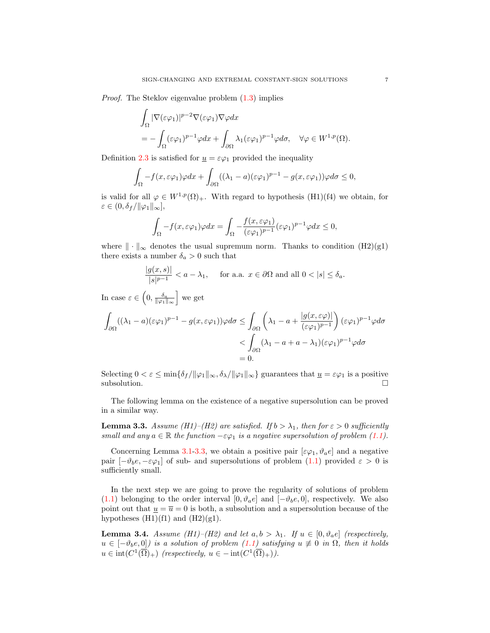Proof. The Steklov eigenvalue problem [\(1.3\)](#page-1-1) implies

$$
\int_{\Omega} |\nabla(\varepsilon \varphi_1)|^{p-2} \nabla(\varepsilon \varphi_1) \nabla \varphi dx
$$
  
= 
$$
- \int_{\Omega} (\varepsilon \varphi_1)^{p-1} \varphi dx + \int_{\partial \Omega} \lambda_1 (\varepsilon \varphi_1)^{p-1} \varphi d\sigma, \quad \forall \varphi \in W^{1,p}(\Omega).
$$

Definition [2.3](#page-4-2) is satisfied for  $\underline{u} = \varepsilon \varphi_1$  provided the inequality

$$
\int_{\Omega} -f(x,\varepsilon\varphi_1)\varphi dx + \int_{\partial\Omega} ((\lambda_1-a)(\varepsilon\varphi_1)^{p-1} - g(x,\varepsilon\varphi_1))\varphi d\sigma \leq 0,
$$

is valid for all  $\varphi \in W^{1,p}(\Omega)_+$ . With regard to hypothesis (H1)(f4) we obtain, for  $\varepsilon \in (0, \delta_f/\|\varphi_1\|_{\infty}],$ 

$$
\int_{\Omega} -f(x,\varepsilon\varphi_1)\varphi dx = \int_{\Omega} -\frac{f(x,\varepsilon\varphi_1)}{(\varepsilon\varphi_1)^{p-1}}(\varepsilon\varphi_1)^{p-1}\varphi dx \le 0,
$$

where  $\|\cdot\|_{\infty}$  denotes the usual supremum norm. Thanks to condition (H2)(g1) there exists a number  $\delta_a>0$  such that

$$
\frac{|g(x,s)|}{|s|^{p-1}} < a - \lambda_1, \quad \text{for a.a. } x \in \partial\Omega \text{ and all } 0 < |s| \le \delta_a.
$$

In case  $\varepsilon \in \left(0, \frac{\delta_a}{\|\varphi_1\|_{\infty}}\right]$  we get

$$
\int_{\partial\Omega} ((\lambda_1 - a)(\varepsilon\varphi_1)^{p-1} - g(x, \varepsilon\varphi_1))\varphi d\sigma \le \int_{\partial\Omega} \left(\lambda_1 - a + \frac{|g(x, \varepsilon\varphi)|}{(\varepsilon\varphi_1)^{p-1}}\right) (\varepsilon\varphi_1)^{p-1}\varphi d\sigma
$$
  

$$
< \int_{\partial\Omega} (\lambda_1 - a + a - \lambda_1)(\varepsilon\varphi_1)^{p-1}\varphi d\sigma
$$
  
= 0.

Selecting  $0 < \varepsilon \le \min{\{\delta_f / \|\varphi_1\|_{\infty}, \delta_{\lambda}/\|\varphi_1\|_{\infty}\}}$  guarantees that  $\underline{u} = \varepsilon \varphi_1$  is a positive subsolution.  $\Box$ 

The following lemma on the existence of a negative supersolution can be proved in a similar way.

<span id="page-6-0"></span>**Lemma 3.3.** Assume (H1)–(H2) are satisfied. If  $b > \lambda_1$ , then for  $\varepsilon > 0$  sufficiently small and any  $a \in \mathbb{R}$  the function  $-\varepsilon \varphi_1$  is a negative supersolution of problem [\(1.1\)](#page-0-0).

Concerning Lemma [3.1-](#page-4-3)[3.3,](#page-6-0) we obtain a positive pair  $[\epsilon\varphi_1, \vartheta_a e]$  and a negative pair  $[-\vartheta_b e, -\varepsilon\varphi_1]$  of sub- and supersolutions of problem [\(1.1\)](#page-0-0) provided  $\varepsilon > 0$  is sufficiently small.

In the next step we are going to prove the regularity of solutions of problem [\(1.1\)](#page-0-0) belonging to the order interval  $[0, \vartheta_a e]$  and  $[-\vartheta_b e, 0]$ , respectively. We also point out that  $\underline{u} = \overline{u} = 0$  is both, a subsolution and a supersolution because of the hypotheses  $(H1)(f1)$  and  $(H2)(g1)$ .

<span id="page-6-1"></span>**Lemma 3.4.** Assume (H1)–(H2) and let  $a, b > \lambda_1$ . If  $u \in [0, \vartheta_a e]$  (respectively,  $u \in [-\vartheta_b e, 0]$  is a solution of problem [\(1.1\)](#page-0-0) satisfying  $u \not\equiv 0$  in  $\Omega$ , then it holds  $u \in \text{int}(C^1(\overline{\Omega})_+)$  (respectively,  $u \in -\text{int}(C^1(\overline{\Omega})_+))$ .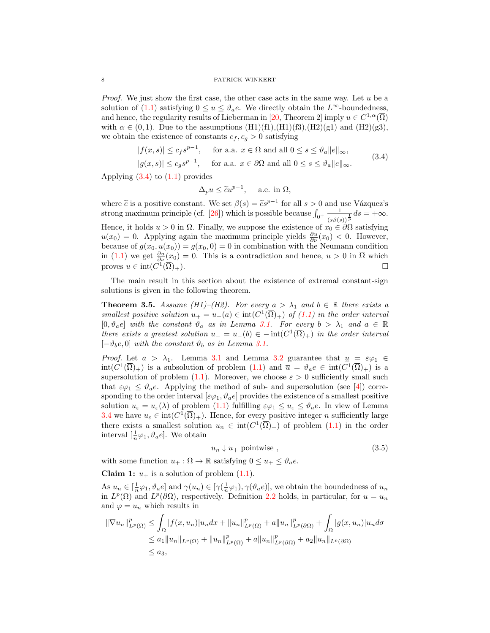*Proof.* We just show the first case, the other case acts in the same way. Let  $u$  be a solution of [\(1.1\)](#page-0-0) satisfying  $0 \le u \le \vartheta_a e$ . We directly obtain the  $L^{\infty}$ -boundedness, and hence, the regularity results of Lieberman in [\[20,](#page-17-12) Theorem 2] imply  $u \in C^{1,\alpha}(\overline{\Omega})$ with  $\alpha \in (0, 1)$ . Due to the assumptions  $(H1)(f1), (H1)(f3), (H2)(g1)$  and  $(H2)(g3),$ we obtain the existence of constants  $c_f, c_g > 0$  satisfying

$$
|f(x,s)| \le c_f s^{p-1}, \quad \text{for a.a. } x \in \Omega \text{ and all } 0 \le s \le \vartheta_a \|e\|_{\infty},
$$
  

$$
|g(x,s)| \le c_g s^{p-1}, \quad \text{for a.a. } x \in \partial\Omega \text{ and all } 0 \le s \le \vartheta_a \|e\|_{\infty}.
$$
 (3.4)

Applying  $(3.4)$  to  $(1.1)$  provides

<span id="page-7-0"></span>
$$
\Delta_p u \le \tilde{c}u^{p-1}, \quad \text{ a.e. in } \Omega,
$$

where  $\tilde{c}$  is a positive constant. We set  $\beta(s) = \tilde{c}s^{p-1}$  for all  $s > 0$  and use Vázquez's<br>strong maximum principle (cf. [26]) which is possible because  $\int_{c}^{1} \frac{1}{\sqrt{c}} \, d\omega = +\infty$ strong maximum principle (cf. [\[26\]](#page-17-14)) which is possible because  $\int_{0^+} \frac{1}{\sqrt{e^{i\theta}}}$  $\frac{1}{(s\beta(s))^{\frac{1}{p}}}ds = +\infty.$ Hence, it holds  $u > 0$  in  $\Omega$ . Finally, we suppose the existence of  $x_0 \in \partial \Omega$  satisfying  $u(x_0) = 0$ . Applying again the maximum principle yields  $\frac{\partial u}{\partial \nu}(x_0) < 0$ . However, because of  $g(x_0, u(x_0)) = g(x_0, 0) = 0$  in combination with the Neumann condition in [\(1.1\)](#page-0-0) we get  $\frac{\partial u}{\partial \nu}(x_0) = 0$ . This is a contradiction and hence,  $u > 0$  in  $\overline{\Omega}$  which proves  $u \in \text{int}(C^1)$  $(\overline{\Omega})_+$ ).

The main result in this section about the existence of extremal constant-sign solutions is given in the following theorem.

<span id="page-7-2"></span>**Theorem 3.5.** Assume (H1)–(H2). For every  $a > \lambda_1$  and  $b \in \mathbb{R}$  there exists a smallest positive solution  $u_+ = u_+(a) \in \text{int}(C^1(\overline{\Omega})_+)$  of  $(1.1)$  in the order interval  $[0, \vartheta_a e]$  with the constant  $\vartheta_a$  as in Lemma [3.1.](#page-4-3) For every  $b > \lambda_1$  and  $a \in \mathbb{R}$ there exists a greatest solution  $u = u_-(b) \in -\text{int}(C^1(\overline{\Omega})_+)$  in the order interval  $[-\vartheta_b e, 0]$  with the constant  $\vartheta_b$  as in Lemma [3.1.](#page-4-3)

*Proof.* Let  $a > \lambda_1$ . Lemma [3.1](#page-4-3) and Lemma [3.2](#page-5-2) guarantee that  $\underline{u} = \varepsilon \varphi_1 \in$  $\text{int}(C^1(\overline{\Omega})_+)$  is a subsolution of problem  $(1.1)$  and  $\overline{u} = \vartheta_a e \in \text{int}(C^1(\overline{\Omega})_+)$  is a supersolution of problem [\(1.1\)](#page-0-0). Moreover, we choose  $\varepsilon > 0$  sufficiently small such that  $\varepsilon\varphi_1 \leq \vartheta_a e$ . Applying the method of sub- and supersolution (see [\[4\]](#page-16-12)) corresponding to the order interval  $[\varepsilon\varphi_1, \vartheta_a e]$  provides the existence of a smallest positive solution  $u_{\varepsilon} = u_{\varepsilon}(\lambda)$  of problem  $(1.1)$  fulfilling  $\varepsilon \varphi_1 \leq u_{\varepsilon} \leq \vartheta_a e$ . In view of Lemma [3.4](#page-6-1) we have  $u_{\varepsilon} \in \text{int}(C^1(\overline{\Omega})_+)$ . Hence, for every positive integer *n* sufficiently large there exists a smallest solution  $u_n \in \text{int}(C^1(\overline{\Omega})_+)$  of problem  $(1.1)$  in the order interval  $\left[\frac{1}{n}\varphi_1, \vartheta_a e\right]$ . We obtain

<span id="page-7-1"></span>
$$
u_n \downarrow u_+ \text{ pointwise} \tag{3.5}
$$

with some function  $u_+ : \Omega \to \mathbb{R}$  satisfying  $0 \le u_+ \le \vartheta_a e$ .

**Claim 1:**  $u_+$  is a solution of problem  $(1.1)$ .

As  $u_n \in [\frac{1}{n}\varphi_1, \vartheta_a e]$  and  $\gamma(u_n) \in [\gamma(\frac{1}{n}\varphi_1), \gamma(\vartheta_a e)],$  we obtain the boundedness of  $u_n$ in  $L^p(\Omega)$  and  $L^p(\partial\Omega)$ , respectively. Definition [2.2](#page-3-1) holds, in particular, for  $u = u_n$ and  $\varphi = u_n$  which results in

$$
\|\nabla u_n\|_{L^p(\Omega)}^p \leq \int_{\Omega} |f(x, u_n)| u_n dx + \|u_n\|_{L^p(\Omega)}^p + a \|u_n\|_{L^p(\partial\Omega)}^p + \int_{\Omega} |g(x, u_n)| u_n d\sigma
$$
  
\n
$$
\leq a_1 \|u_n\|_{L^p(\Omega)} + \|u_n\|_{L^p(\Omega)}^p + a \|u_n\|_{L^p(\partial\Omega)}^p + a_2 \|u_n\|_{L^p(\partial\Omega)}
$$
  
\n
$$
\leq a_3,
$$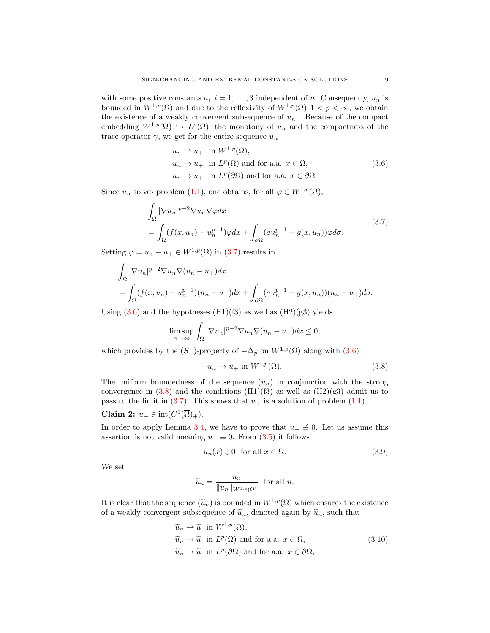with some positive constants  $a_i, i = 1, \ldots, 3$  independent of n. Consequently,  $u_n$  is bounded in  $W^{1,p}(\Omega)$  and due to the reflexivity of  $W^{1,p}(\Omega)$ ,  $1 < p < \infty$ , we obtain the existence of a weakly convergent subsequence of  $u_n$ . Because of the compact embedding  $W^{1,p}(\Omega) \hookrightarrow L^p(\Omega)$ , the monotony of  $u_n$  and the compactness of the trace operator  $\gamma$ , we get for the entire sequence  $u_n$ 

<span id="page-8-1"></span><span id="page-8-0"></span>
$$
u_n \rightharpoonup u_+ \text{ in } W^{1,p}(\Omega),
$$
  
\n
$$
u_n \rightharpoonup u_+ \text{ in } L^p(\Omega) \text{ and for a.a. } x \in \Omega,
$$
  
\n
$$
u_n \rightharpoonup u_+ \text{ in } L^p(\partial\Omega) \text{ and for a.a. } x \in \partial\Omega.
$$
\n(3.6)

Since  $u_n$  solves problem [\(1.1\)](#page-0-0), one obtains, for all  $\varphi \in W^{1,p}(\Omega)$ ,

$$
\int_{\Omega} |\nabla u_n|^{p-2} \nabla u_n \nabla \varphi dx
$$
\n
$$
= \int_{\Omega} (f(x, u_n) - u_n^{p-1}) \varphi dx + \int_{\partial \Omega} (au_n^{p-1} + g(x, u_n)) \varphi d\sigma.
$$
\n(3.7)

Setting  $\varphi = u_n - u_+ \in W^{1,p}(\Omega)$  in [\(3.7\)](#page-8-0) results in

$$
\int_{\Omega} |\nabla u_n|^{p-2} \nabla u_n \nabla (u_n - u_+) dx
$$
  
= 
$$
\int_{\Omega} (f(x, u_n) - u_n^{p-1})(u_n - u_+) dx + \int_{\partial \Omega} (au_n^{p-1} + g(x, u_n))(u_n - u_+) d\sigma.
$$

Using  $(3.6)$  and the hypotheses  $(H1)(f3)$  as well as  $(H2)(g3)$  yields

$$
\limsup_{n \to \infty} \int_{\Omega} |\nabla u_n|^{p-2} \nabla u_n \nabla (u_n - u_+) dx \le 0,
$$

which provides by the  $(S_+)$ -property of  $-\Delta_p$  on  $W^{1,p}(\Omega)$  along with  $(3.6)$ 

<span id="page-8-2"></span>
$$
u_n \to u_+ \text{ in } W^{1,p}(\Omega). \tag{3.8}
$$

The uniform boundedness of the sequence  $(u_n)$  in conjunction with the strong convergence in  $(3.8)$  and the conditions  $(H1)(f3)$  as well as  $(H2)(g3)$  admit us to pass to the limit in  $(3.7)$ . This shows that  $u_+$  is a solution of problem  $(1.1)$ .

# Claim 2:  $u_+ \in \text{int}(C^1(\overline{\Omega})_+).$

In order to apply Lemma [3.4,](#page-6-1) we have to prove that  $u_+ \neq 0$ . Let us assume this assertion is not valid meaning  $u_+ \equiv 0$ . From [\(3.5\)](#page-7-1) it follows

<span id="page-8-4"></span>
$$
u_n(x) \downarrow 0 \quad \text{for all } x \in \Omega. \tag{3.9}
$$

We set

<span id="page-8-3"></span>
$$
\widetilde{u}_n = \frac{u_n}{\|u_n\|_{W^{1,p}(\Omega)}} \text{ for all } n.
$$

It is clear that the sequence  $(\tilde{u}_n)$  is bounded in  $W^{1,p}(\Omega)$  which ensures the existence of a weakly convergent subsequence of  $\tilde{u}_n$ , denoted again by  $\tilde{u}_n$ , such that

$$
\widetilde{u}_n \rightharpoonup \widetilde{u} \quad \text{in } W^{1,p}(\Omega), \n\widetilde{u}_n \rightharpoonup \widetilde{u} \quad \text{in } L^p(\Omega) \text{ and for a.a. } x \in \Omega, \n\widetilde{u}_n \rightharpoonup \widetilde{u} \quad \text{in } L^p(\partial\Omega) \text{ and for a.a. } x \in \partial\Omega,
$$
\n(3.10)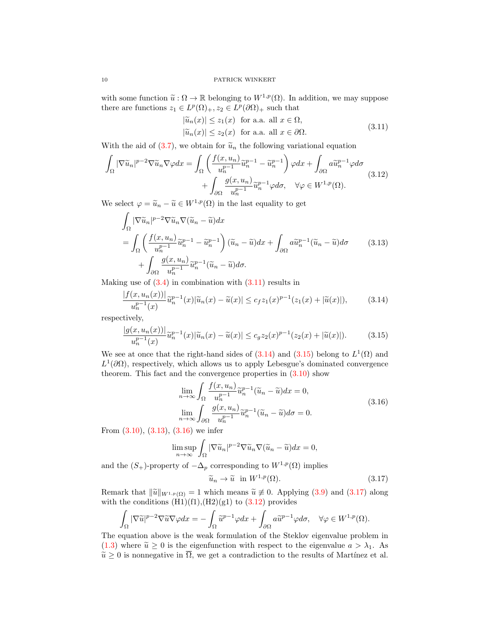with some function  $\tilde{u}: \Omega \to \mathbb{R}$  belonging to  $W^{1,p}(\Omega)$ . In addition, we may suppose there are functions  $z_1 \in L^p(\Omega)_+, z_2 \in L^p(\partial \Omega)_+$  such that

<span id="page-9-6"></span><span id="page-9-3"></span><span id="page-9-0"></span>
$$
|\widetilde{u}_n(x)| \le z_1(x) \text{ for a.a. all } x \in \Omega,
$$
  

$$
|\widetilde{u}_n(x)| \le z_2(x) \text{ for a.a. all } x \in \partial\Omega.
$$
 (3.11)

With the aid of [\(3.7\)](#page-8-0), we obtain for  $\tilde{u}_n$  the following variational equation

$$
\int_{\Omega} |\nabla \widetilde{u}_n|^{p-2} \nabla \widetilde{u}_n \nabla \varphi dx = \int_{\Omega} \left( \frac{f(x, u_n)}{u_n^{p-1}} \widetilde{u}_n^{p-1} - \widetilde{u}_n^{p-1} \right) \varphi dx + \int_{\partial \Omega} a \widetilde{u}_n^{p-1} \varphi d\sigma + \int_{\partial \Omega} \frac{g(x, u_n)}{u_n^{p-1}} \widetilde{u}_n^{p-1} \varphi d\sigma, \quad \forall \varphi \in W^{1, p}(\Omega).
$$
\n(3.12)

We select  $\varphi = \widetilde{u}_n - \widetilde{u} \in W^{1,p}(\Omega)$  in the last equality to get

$$
\int_{\Omega} |\nabla \widetilde{u}_n|^{p-2} \nabla \widetilde{u}_n \nabla (\widetilde{u}_n - \widetilde{u}) dx \n= \int_{\Omega} \left( \frac{f(x, u_n)}{u_n^{p-1}} \widetilde{u}_n^{p-1} - \widetilde{u}_n^{p-1} \right) (\widetilde{u}_n - \widetilde{u}) dx + \int_{\partial \Omega} a \widetilde{u}_n^{p-1} (\widetilde{u}_n - \widetilde{u}) d\sigma \n+ \int_{\partial \Omega} \frac{g(x, u_n)}{u_n^{p-1}} \widetilde{u}_n^{p-1} (\widetilde{u}_n - \widetilde{u}) d\sigma.
$$
\n(3.13)

Making use of  $(3.4)$  in combination with  $(3.11)$  results in

$$
\frac{|f(x, u_n(x))|}{u_n^{p-1}(x)}\tilde{u}_n^{p-1}(x)|\tilde{u}_n(x) - \tilde{u}(x)| \le c_f z_1(x)^{p-1}(z_1(x) + |\tilde{u}(x)|),\tag{3.14}
$$

respectively,

$$
\frac{|g(x, u_n(x))|}{u_n^{p-1}(x)} \tilde{u}_n^{p-1}(x)|\tilde{u}_n(x) - \tilde{u}(x)| \le c_g z_2(x)^{p-1}(z_2(x) + |\tilde{u}(x)|). \tag{3.15}
$$

We see at once that the right-hand sides of  $(3.14)$  and  $(3.15)$  belong to  $L^1(\Omega)$  and  $L^1(\partial\Omega)$ , respectively, which allows us to apply Lebesgue's dominated convergence theorem. This fact and the convergence properties in  $(3.10)$  show

<span id="page-9-2"></span><span id="page-9-1"></span>
$$
\lim_{n \to \infty} \int_{\Omega} \frac{f(x, u_n)}{u_n^{p-1}} \widetilde{u}_n^{p-1} (\widetilde{u}_n - \widetilde{u}) dx = 0,
$$
\n
$$
\lim_{n \to \infty} \int_{\partial \Omega} \frac{g(x, u_n)}{u_n^{p-1}} \widetilde{u}_n^{p-1} (\widetilde{u}_n - \widetilde{u}) d\sigma = 0.
$$
\n(3.16)

From [\(3.10\)](#page-8-3), [\(3.13\)](#page-9-3), [\(3.16\)](#page-9-4) we infer

$$
\limsup_{n \to \infty} \int_{\Omega} |\nabla \widetilde{u}_n|^{p-2} \nabla \widetilde{u}_n \nabla (\widetilde{u}_n - \widetilde{u}) dx = 0,
$$

and the  $(S_+)$ -property of  $-\Delta_p$  corresponding to  $W^{1,p}(\Omega)$  implies

<span id="page-9-5"></span><span id="page-9-4"></span>
$$
\widetilde{u}_n \to \widetilde{u} \quad \text{in } W^{1,p}(\Omega). \tag{3.17}
$$

Remark that  $\|\tilde{u}\|_{W^{1,p}(\Omega)} = 1$  which means  $\tilde{u} \neq 0$ . Applying [\(3.9\)](#page-8-4) and [\(3.17\)](#page-9-5) along with the conditions  $(H1)(f1),(H2)(g1)$  to  $(3.12)$  provides

$$
\int_{\Omega} |\nabla \widetilde{u}|^{p-2} \nabla \widetilde{u} \nabla \varphi dx = -\int_{\Omega} \widetilde{u}^{p-1} \varphi dx + \int_{\partial \Omega} a \widetilde{u}^{p-1} \varphi d\sigma, \quad \forall \varphi \in W^{1,p}(\Omega).
$$

The equation above is the weak formulation of the Steklov eigenvalue problem in [\(1.3\)](#page-1-1) where  $\tilde{u} \ge 0$  is the eigenfunction with respect to the eigenvalue  $a > \lambda_1$ . As  $\tilde{u} \geq 0$  is nonnegative in  $\overline{\Omega}$ , we get a contradiction to the results of Martínez et al.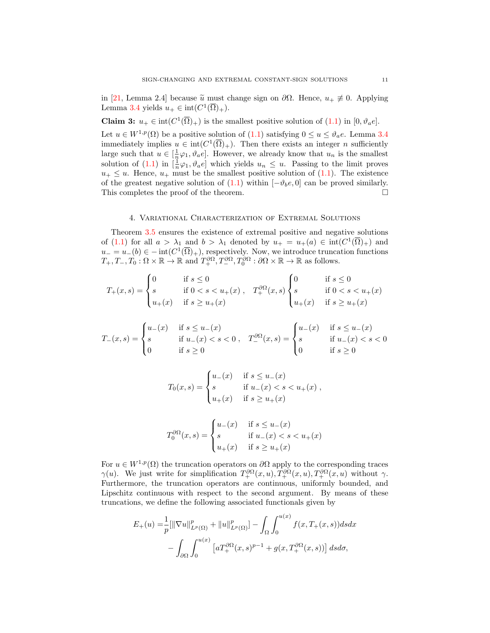in [\[21,](#page-17-9) Lemma 2.4] because  $\tilde{u}$  must change sign on  $\partial\Omega$ . Hence,  $u_+\not\equiv 0$ . Applying Lemma [3.4](#page-6-1) yields  $u_+ \in \text{int}(C^1(\overline{\Omega})_+).$ 

**Claim 3:**  $u_+ \in \text{int}(C^1(\overline{\Omega})_+)$  is the smallest positive solution of [\(1.1\)](#page-0-0) in [0,  $\vartheta_a e$ ]. Let  $u \in W^{1,p}(\Omega)$  be a positive solution of  $(1.1)$  $(1.1)$  satisfying  $0 \le u \le \vartheta_a e$ . Lemma [3.4](#page-6-1) immediately implies  $u \in \text{int}(C^1(\overline{\Omega})_+)$ . Then there exists an integer *n* sufficiently large such that  $u \in [\frac{1}{n}\varphi_1, \vartheta_a e]$ . However, we already know that  $u_n$  is the smallest solution of  $(1.1)$  in  $\left[\frac{1}{n}\varphi_1, \vartheta_a e\right]$  which yields  $u_n \leq u$ . Passing to the limit proves  $u_+ \leq u$ . Hence,  $u_+$  must be the smallest positive solution of  $(1.1)$ . The existence of the greatest negative solution of  $(1.1)$  within  $[-\vartheta_b e, 0]$  can be proved similarly. This completes the proof of the theorem.

### 4. Variational Characterization of Extremal Solutions

Theorem [3.5](#page-7-2) ensures the existence of extremal positive and negative solutions of [\(1.1\)](#page-0-0) for all  $a > \lambda_1$  and  $b > \lambda_1$  denoted by  $u_+ = u_+(a) \in \text{int}(C^1(\overline{\Omega})_+)$  and  $u = u_-(b) \in -\text{int}(C^1(\overline{\Omega})_+)$ , respectively. Now, we introduce truncation functions  $T_+, T_-, T_0: \Omega \times \mathbb{R} \to \mathbb{R}$  and  $T_+^{\partial \Omega}, T_-^{\partial \Omega}, T_0^{\partial \Omega}: \partial \Omega \times \mathbb{R} \to \mathbb{R}$  as follows.

$$
T_{+}(x,s) = \begin{cases} 0 & \text{if } s \leq 0 \\ s & \text{if } 0 < s < u_{+}(x) \\ u_{+}(x) & \text{if } s \geq u_{+}(x) \end{cases}, \quad T_{+}^{\partial\Omega}(x,s) \begin{cases} 0 & \text{if } s \leq 0 \\ s & \text{if } 0 < s < u_{+}(x) \\ u_{+}(x) & \text{if } s \geq u_{+}(x) \end{cases}
$$

$$
T_{-}(x,s) = \begin{cases} u_{-}(x) & \text{if } s \le u_{-}(x) \\ s & \text{if } u_{-}(x) < s < 0 \\ 0 & \text{if } s \ge 0 \end{cases}, \quad T_{-}^{\partial\Omega}(x,s) = \begin{cases} u_{-}(x) & \text{if } s \le u_{-}(x) \\ s & \text{if } u_{-}(x) < s < 0 \\ 0 & \text{if } s \ge 0 \end{cases}
$$

$$
T_0(x,s) = \begin{cases} u_-(x) & \text{if } s \le u_-(x) \\ s & \text{if } u_-(x) < s < u_+(x) \\ u_+(x) & \text{if } s \ge u_+(x) \end{cases}
$$

$$
T_0^{\partial\Omega}(x,s) = \begin{cases} u_-(x) & \text{if } s \le u_-(x) \\ s & \text{if } u_-(x) < s < u_+(x) \\ u_+(x) & \text{if } s \ge u_+(x) \end{cases}
$$

For  $u \in W^{1,p}(\Omega)$  the truncation operators on  $\partial\Omega$  apply to the corresponding traces  $\gamma(u)$ . We just write for simplification  $T_+^{\partial\Omega}(x,u), T_+^{\partial\Omega}(x,u), T_+^{\partial\Omega}(x,u)$  without  $\gamma$ . Furthermore, the truncation operators are continuous, uniformly bounded, and Lipschitz continuous with respect to the second argument. By means of these truncations, we define the following associated functionals given by

$$
E_{+}(u) = \frac{1}{p} [\|\nabla u\|_{L^{p}(\Omega)}^{p} + \|u\|_{L^{p}(\Omega)}^{p}] - \int_{\Omega} \int_{0}^{u(x)} f(x, T_{+}(x, s)) ds dx
$$
  

$$
- \int_{\partial \Omega} \int_{0}^{u(x)} \left[ a T_{+}^{\partial \Omega}(x, s)^{p-1} + g(x, T_{+}^{\partial \Omega}(x, s)) \right] ds d\sigma,
$$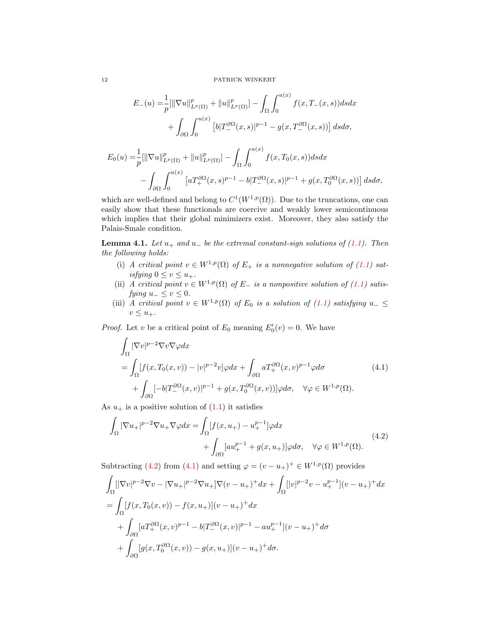$$
E_{-}(u) = \frac{1}{p} [\|\nabla u\|_{L^{p}(\Omega)}^{p} + \|u\|_{L^{p}(\Omega)}^{p}] - \int_{\Omega} \int_{0}^{u(x)} f(x, T_{-}(x, s)) ds dx
$$
  
+ 
$$
\int_{\partial\Omega} \int_{0}^{u(x)} [b|T_{-}^{\partial\Omega}(x, s)|^{p-1} - g(x, T_{-}^{\partial\Omega}(x, s))] ds d\sigma,
$$
  

$$
E_{0}(u) = \frac{1}{p} [\|\nabla u\|_{L^{p}(\Omega)}^{p} + \|u\|_{L^{p}(\Omega)}^{p}] - \int_{\Omega} \int_{0}^{u(x)} f(x, T_{0}(x, s)) ds dx
$$
  
- 
$$
\int_{\partial\Omega} \int_{0}^{u(x)} [aT_{+}^{\partial\Omega}(x, s)^{p-1} - b|T_{-}^{\partial\Omega}(x, s)|^{p-1} + g(x, T_{0}^{\partial\Omega}(x, s))] ds d\sigma,
$$

which are well-defined and belong to  $C^1(W^{1,p}(\Omega))$ . Due to the truncations, one can easily show that these functionals are coercive and weakly lower semicontinuous which implies that their global minimizers exist. Moreover, they also satisfy the Palais-Smale condition.

<span id="page-11-2"></span>**Lemma 4.1.** Let  $u_+$  and  $u_-$  be the extremal constant-sign solutions of [\(1.1\)](#page-0-0). Then the following holds:

- (i) A critical point  $v \in W^{1,p}(\Omega)$  of  $E_+$  is a nonnegative solution of [\(1.1\)](#page-0-0) satisfying  $0 \le v \le u_+$ .
- (ii) A critical point  $v \in W^{1,p}(\Omega)$  of E\_ is a nonpositive solution of [\(1.1\)](#page-0-0) satisfying  $u_-\leq v\leq 0$ .
- (iii) A critical point  $v \in W^{1,p}(\Omega)$  of  $E_0$  is a solution of [\(1.1\)](#page-0-0) satisfying  $u_-\leq$  $v \leq u_+$ .

*Proof.* Let v be a critical point of  $E_0$  meaning  $E'_0(v) = 0$ . We have

<span id="page-11-1"></span>
$$
\int_{\Omega} |\nabla v|^{p-2} \nabla v \nabla \varphi dx
$$
\n
$$
= \int_{\Omega} [f(x, T_0(x, v)) - |v|^{p-2} v] \varphi dx + \int_{\partial \Omega} a T_+^{\partial \Omega} (x, v)^{p-1} \varphi d\sigma + \int_{\partial \Omega} [-b] T_-^{\partial \Omega} (x, v)|^{p-1} + g(x, T_0^{\partial \Omega} (x, v))] \varphi d\sigma, \quad \forall \varphi \in W^{1, p}(\Omega).
$$
\n(4.1)

As  $u_+$  is a positive solution of  $(1.1)$  it satisfies

<span id="page-11-0"></span>
$$
\int_{\Omega} |\nabla u_{+}|^{p-2} \nabla u_{+} \nabla \varphi dx = \int_{\Omega} [f(x, u_{+}) - u_{+}^{p-1}] \varphi dx \n+ \int_{\partial \Omega} [au_{+}^{p-1} + g(x, u_{+})] \varphi d\sigma, \quad \forall \varphi \in W^{1, p}(\Omega).
$$
\n(4.2)

Subtracting [\(4.2\)](#page-11-0) from [\(4.1\)](#page-11-1) and setting  $\varphi = (v - u_+)^\dagger \in W^{1,p}(\Omega)$  provides

$$
\int_{\Omega} [|\nabla v|^{p-2} \nabla v - |\nabla u_+|^{p-2} \nabla u_+] \nabla (v - u_+)^+ dx + \int_{\Omega} [|v|^{p-2} v - u_+^{p-1}] (v - u_+)^+ dx
$$
\n
$$
= \int_{\Omega} [f(x, T_0(x, v)) - f(x, u_+)] (v - u_+)^+ dx
$$
\n
$$
+ \int_{\partial \Omega} [a T_+^{\partial \Omega} (x, v)^{p-1} - b] T_-^{\partial \Omega} (x, v)|^{p-1} - a u_+^{p-1}] (v - u_+)^+ d\sigma
$$
\n
$$
+ \int_{\partial \Omega} [g(x, T_0^{\partial \Omega} (x, v)) - g(x, u_+)] (v - u_+)^+ d\sigma.
$$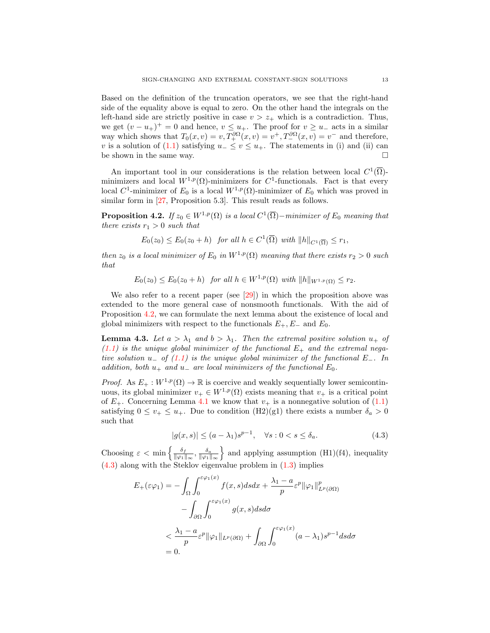Based on the definition of the truncation operators, we see that the right-hand side of the equality above is equal to zero. On the other hand the integrals on the left-hand side are strictly positive in case  $v > z_+$  which is a contradiction. Thus, we get  $(v - u_+)$ <sup>+</sup> = 0 and hence,  $v \le u_+$ . The proof for  $v \ge u_-$  acts in a similar way which shows that  $T_0(x, v) = v, T_+^{\partial \Omega}(x, v) = v^+, T_-^{\partial \Omega}(x, v) = v^-$  and therefore, v is a solution of [\(1.1\)](#page-0-0) satisfying  $u_-\leq v\leq u_+$ . The statements in (i) and (ii) can be shown in the same way.  $\Box$ 

An important tool in our considerations is the relation between local  $C^1(\overline{\Omega})$ minimizers and local  $W^{1,p}(\Omega)$ -minimizers for C<sup>1</sup>-functionals. Fact is that every local  $C^1$ -minimizer of  $E_0$  is a local  $W^{1,p}(\Omega)$ -minimizer of  $E_0$  which was proved in similar form in [\[27,](#page-17-0) Proposition 5.3]. This result reads as follows.

<span id="page-12-0"></span>**Proposition 4.2.** If  $z_0 \in W^{1,p}(\Omega)$  is a local  $C^1(\overline{\Omega})$ -minimizer of  $E_0$  meaning that there exists  $r_1 > 0$  such that

$$
E_0(z_0) \le E_0(z_0 + h) \quad \text{for all } h \in C^1(\overline{\Omega}) \text{ with } ||h||_{C^1(\overline{\Omega})} \le r_1,
$$

then  $z_0$  is a local minimizer of  $E_0$  in  $W^{1,p}(\Omega)$  meaning that there exists  $r_2 > 0$  such that

 $E_0(z_0) \le E_0(z_0 + h)$  for all  $h \in W^{1,p}(\Omega)$  with  $||h||_{W^{1,p}(\Omega)} \le r_2$ .

We also refer to a recent paper (see [\[29\]](#page-17-15)) in which the proposition above was extended to the more general case of nonsmooth functionals. With the aid of Proposition [4.2,](#page-12-0) we can formulate the next lemma about the existence of local and global minimizers with respect to the functionals  $E_+, E_-$  and  $E_0$ .

<span id="page-12-2"></span>**Lemma 4.3.** Let  $a > \lambda_1$  and  $b > \lambda_1$ . Then the extremal positive solution  $u_+$  of  $(1.1)$  is the unique global minimizer of the functional  $E_{+}$  and the extremal negative solution u<sub>−</sub> of  $(1.1)$  is the unique global minimizer of the functional E<sub>−</sub>. In addition, both  $u_+$  and  $u_-$  are local minimizers of the functional  $E_0$ .

*Proof.* As  $E_+ : W^{1,p}(\Omega) \to \mathbb{R}$  is coercive and weakly sequentially lower semicontinuous, its global minimizer  $v_+ \in W^{1,p}(\Omega)$  exists meaning that  $v_+$  is a critical point of  $E_{+}$ . Concerning Lemma [4.1](#page-11-2) we know that  $v_{+}$  is a nonnegative solution of [\(1.1\)](#page-0-0) satisfying  $0 \le v_+ \le u_+$ . Due to condition  $(H2)(g1)$  there exists a number  $\delta_a > 0$ such that

<span id="page-12-1"></span>
$$
|g(x,s)| \le (a - \lambda_1)s^{p-1}, \quad \forall s : 0 < s \le \delta_a. \tag{4.3}
$$

Choosing  $\varepsilon < \min \left\{ \frac{\delta_f}{\log 1} \right\}$  $\frac{\delta_f}{\|\varphi_1\|_{\infty}}, \frac{\delta_a}{\|\varphi_1\|_{\infty}}\}$  and applying assumption (H1)(f4), inequality  $(4.3)$  along with the Steklov eigenvalue problem in  $(1.3)$  implies

$$
E_{+}(\varepsilon \varphi_{1}) = -\int_{\Omega} \int_{0}^{\varepsilon \varphi_{1}(x)} f(x, s) ds dx + \frac{\lambda_{1} - a}{p} \varepsilon^{p} ||\varphi_{1}||_{L^{p}(\partial \Omega)}^{p}
$$

$$
- \int_{\partial \Omega} \int_{0}^{\varepsilon \varphi_{1}(x)} g(x, s) ds d\sigma
$$

$$
< \frac{\lambda_{1} - a}{p} \varepsilon^{p} ||\varphi_{1}||_{L^{p}(\partial \Omega)} + \int_{\partial \Omega} \int_{0}^{\varepsilon \varphi_{1}(x)} (a - \lambda_{1}) s^{p-1} ds d\sigma
$$

$$
= 0.
$$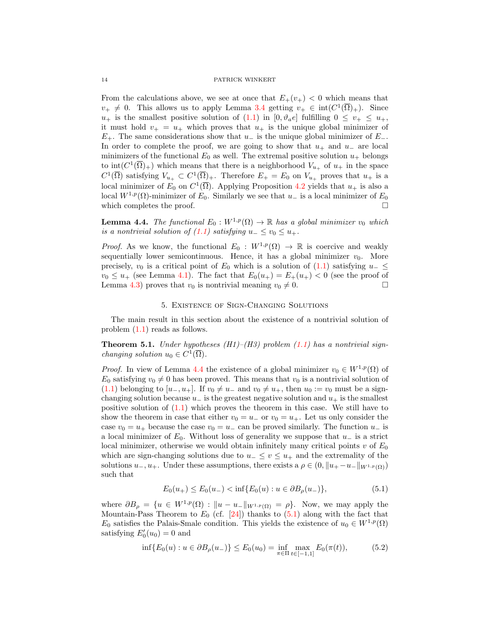From the calculations above, we see at once that  $E_+(v_+) < 0$  which means that  $v_+ \neq 0$ . This allows us to apply Lemma [3.4](#page-6-1) getting  $v_+ \in \text{int}(C^1(\overline{\Omega})_+)$ . Since  $u_+$  is the smallest positive solution of [\(1.1\)](#page-0-0) in  $[0, \vartheta_a e]$  fulfilling  $0 \le v_+ \le u_+$ , it must hold  $v_+ = u_+$  which proves that  $u_+$  is the unique global minimizer of  $E_{+}$ . The same considerations show that  $u_{-}$  is the unique global minimizer of  $E_{-}$ . In order to complete the proof, we are going to show that  $u_+$  and  $u_-$  are local minimizers of the functional  $E_0$  as well. The extremal positive solution  $u_+$  belongs to  $\text{int}(C^1(\overline{\Omega})_+)$  which means that there is a neighborhood  $V_{u_+}$  of  $u_+$  in the space  $C^1(\overline{\Omega})$  satisfying  $V_{u_+} \subset C^1(\overline{\Omega})_+$ . Therefore  $E_+ = E_0$  on  $V_{u_+}$  proves that  $u_+$  is a local minimizer of  $E_0$  on  $C^1(\overline{\Omega})$ . Applying Proposition [4.2](#page-12-0) yields that  $u_+$  is also a local  $W^{1,p}(\Omega)$ -minimizer of  $E_0$ . Similarly we see that  $u_-$  is a local minimizer of  $E_0$ which completes the proof.  $\Box$ 

<span id="page-13-0"></span>**Lemma 4.4.** The functional  $E_0 : W^{1,p}(\Omega) \to \mathbb{R}$  has a global minimizer  $v_0$  which is a nontrivial solution of  $(1.1)$  satisfying  $u_-\leq v_0\leq u_+$ .

*Proof.* As we know, the functional  $E_0: W^{1,p}(\Omega) \to \mathbb{R}$  is coercive and weakly sequentially lower semicontinuous. Hence, it has a global minimizer  $v_0$ . More precisely,  $v_0$  is a critical point of  $E_0$  which is a solution of [\(1.1\)](#page-0-0) satisfying  $u_-\leq$  $v_0 \leq u_+$  (see Lemma [4.1\)](#page-11-2). The fact that  $E_0(u_+) = E_+(u_+) < 0$  (see the proof of Lemma [4.3\)](#page-12-2) proves that  $v_0$  is nontrivial meaning  $v_0 \neq 0$ .

### 5. Existence of Sign-Changing Solutions

The main result in this section about the existence of a nontrivial solution of problem [\(1.1\)](#page-0-0) reads as follows.

**Theorem 5.1.** Under hypotheses (H1)–(H3) problem [\(1.1\)](#page-0-0) has a nontrivial sign*changing solution*  $u_0 \in C^1(\overline{\Omega})$ .

*Proof.* In view of Lemma [4.4](#page-13-0) the existence of a global minimizer  $v_0 \in W^{1,p}(\Omega)$  of  $E_0$  satisfying  $v_0 \neq 0$  has been proved. This means that  $v_0$  is a nontrivial solution of [\(1.1\)](#page-0-0) belonging to  $[u_-, u_+]$ . If  $v_0 \neq u_-$  and  $v_0 \neq u_+$ , then  $u_0 := v_0$  must be a signchanging solution because  $u_-\$  is the greatest negative solution and  $u_+\$  is the smallest positive solution of  $(1.1)$  which proves the theorem in this case. We still have to show the theorem in case that either  $v_0 = u_-$  or  $v_0 = u_+$ . Let us only consider the case  $v_0 = u_+$  because the case  $v_0 = u_-$  can be proved similarly. The function  $u_-$  is a local minimizer of  $E_0$ . Without loss of generality we suppose that  $u_-\,$  is a strict local minimizer, otherwise we would obtain infinitely many critical points v of  $E_0$ which are sign-changing solutions due to  $u_-\leq v\leq u_+$  and the extremality of the solutions  $u_-, u_+$ . Under these assumptions, there exists a  $\rho \in (0, \|u_+ - u_-\|_{W^{1,p}(\Omega)})$ such that

<span id="page-13-2"></span><span id="page-13-1"></span>
$$
E_0(u_+) \le E_0(u_-) < \inf\{E_0(u) : u \in \partial B_\rho(u_-)\},\tag{5.1}
$$

where  $\partial B_{\rho} = \{u \in W^{1,p}(\Omega) : ||u - u_-||_{W^{1,p}(\Omega)} = \rho\}$ . Now, we may apply the Mountain-Pass Theorem to  $E_0$  (cf. [\[24\]](#page-17-16)) thanks to [\(5.1\)](#page-13-1) along with the fact that  $E_0$  satisfies the Palais-Smale condition. This yields the existence of  $u_0 \in W^{1,p}(\Omega)$ satisfying  $E'_0(u_0) = 0$  and

$$
\inf \{ E_0(u) : u \in \partial B_\rho(u_-) \} \le E_0(u_0) = \inf_{\pi \in \Pi} \max_{t \in [-1,1]} E_0(\pi(t)), \tag{5.2}
$$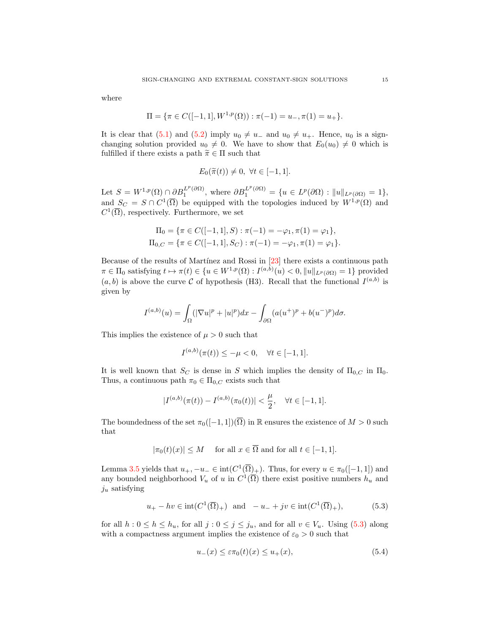where

$$
\Pi = \{ \pi \in C([-1, 1], W^{1, p}(\Omega)) : \pi(-1) = u_-, \pi(1) = u_+ \}.
$$

It is clear that [\(5.1\)](#page-13-1) and [\(5.2\)](#page-13-2) imply  $u_0 \neq u_-$  and  $u_0 \neq u_+$ . Hence,  $u_0$  is a signchanging solution provided  $u_0 \neq 0$ . We have to show that  $E_0(u_0) \neq 0$  which is fulfilled if there exists a path  $\tilde{\pi} \in \Pi$  such that

$$
E_0(\widetilde{\pi}(t)) \neq 0, \ \forall t \in [-1,1].
$$

Let  $S = W^{1,p}(\Omega) \cap \partial B_1^{L^p(\partial \Omega)}$ , where  $\partial B_1^{L^p(\partial \Omega)} = \{u \in L^p(\partial \Omega) : ||u||_{L^p(\partial \Omega)} = 1\}$ , and  $S_C = S \cap C^1(\overline{\Omega})$  be equipped with the topologies induced by  $W^{1,p}(\Omega)$  and  $C^1(\overline{\Omega})$ , respectively. Furthermore, we set

$$
\Pi_0 = \{ \pi \in C([-1, 1], S) : \pi(-1) = -\varphi_1, \pi(1) = \varphi_1 \},
$$
  
\n
$$
\Pi_{0,C} = \{ \pi \in C([-1, 1], S_C) : \pi(-1) = -\varphi_1, \pi(1) = \varphi_1 \}.
$$

Because of the results of Martínez and Rossi in [\[23\]](#page-17-13) there exists a continuous path  $\pi \in \Pi_0$  satisfying  $t \mapsto \pi(t) \in \{u \in W^{1,p}(\Omega) : I^{(a,b)}(u) < 0, ||u||_{L^p(\partial \Omega)} = 1\}$  provided  $(a, b)$  is above the curve C of hypothesis (H3). Recall that the functional  $I^{(a,b)}$  is given by

$$
I^{(a,b)}(u) = \int_{\Omega} (|\nabla u|^p + |u|^p) dx - \int_{\partial\Omega} (a(u^+)^p + b(u^-)^p) d\sigma.
$$

This implies the existence of  $\mu > 0$  such that

$$
I^{(a,b)}(\pi(t)) \le -\mu < 0, \quad \forall t \in [-1, 1].
$$

It is well known that  $S_C$  is dense in S which implies the density of  $\Pi_{0,C}$  in  $\Pi_0$ . Thus, a continuous path  $\pi_0 \in \Pi_{0,C}$  exists such that

$$
|I^{(a,b)}(\pi(t)) - I^{(a,b)}(\pi_0(t))| < \frac{\mu}{2}, \quad \forall t \in [-1, 1].
$$

The boundedness of the set  $\pi_0([-1, 1])(\overline{\Omega})$  in R ensures the existence of  $M > 0$  such that

$$
|\pi_0(t)(x)| \le M \quad \text{ for all } x \in \overline{\Omega} \text{ and for all } t \in [-1, 1].
$$

Lemma [3.5](#page-7-2) yields that  $u_+$ ,  $-u_-\in \text{int}(C^1(\overline{\Omega})_+)$ . Thus, for every  $u\in \pi_0([-1,1])$  and any bounded neighborhood  $V_u$  of u in  $C^1(\overline{\Omega})$  there exist positive numbers  $h_u$  and  $j_u$  satisfying

$$
u_{+}-hv \in \text{int}(C^{1}(\overline{\Omega})_{+}) \quad \text{and} \quad -u_{-}+jv \in \text{int}(C^{1}(\overline{\Omega})_{+}),\tag{5.3}
$$

for all  $h: 0 \le h \le h_u$ , for all  $j: 0 \le j \le j_u$ , and for all  $v \in V_u$ . Using [\(5.3\)](#page-14-0) along with a compactness argument implies the existence of  $\varepsilon_0 > 0$  such that

<span id="page-14-1"></span><span id="page-14-0"></span>
$$
u_{-}(x) \le \varepsilon \pi_0(t)(x) \le u_{+}(x),\tag{5.4}
$$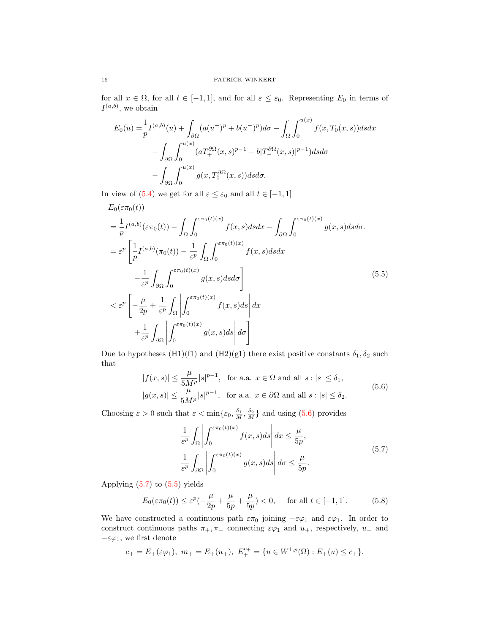for all  $x \in \Omega$ , for all  $t \in [-1,1]$ , and for all  $\varepsilon \leq \varepsilon_0$ . Representing  $E_0$  in terms of  $I^{(a,b)}$ , we obtain

$$
E_0(u) = \frac{1}{p} I^{(a,b)}(u) + \int_{\partial\Omega} (a(u^+)^p + b(u^-)^p) d\sigma - \int_{\Omega} \int_0^{u(x)} f(x, T_0(x, s)) ds dx
$$
  

$$
- \int_{\partial\Omega} \int_0^{u(x)} (aT_+^{\partial\Omega}(x, s)^{p-1} - b|T_-^{\partial\Omega}(x, s)|^{p-1}) ds d\sigma
$$
  

$$
- \int_{\partial\Omega} \int_0^{u(x)} g(x, T_0^{\partial\Omega}(x, s)) ds d\sigma.
$$

In view of [\(5.4\)](#page-14-1) we get for all  $\varepsilon \leq \varepsilon_0$  and all  $t \in [-1, 1]$ 

$$
E_0(\varepsilon \pi_0(t))
$$
  
\n
$$
= \frac{1}{p} I^{(a,b)}(\varepsilon \pi_0(t)) - \int_{\Omega} \int_0^{\varepsilon \pi_0(t)(x)} f(x, s) ds dx - \int_{\partial \Omega} \int_0^{\varepsilon \pi_0(t)(x)} g(x, s) ds d\sigma.
$$
  
\n
$$
= \varepsilon^p \left[ \frac{1}{p} I^{(a,b)}(\pi_0(t)) - \frac{1}{\varepsilon^p} \int_{\Omega} \int_0^{\varepsilon \pi_0(t)(x)} f(x, s) ds dx - \int_{\varepsilon^p} \int_{\partial \Omega} \int_0^{\varepsilon \pi_0(t)(x)} g(x, s) ds dx \right]
$$
  
\n
$$
< \varepsilon^p \left[ -\frac{\mu}{2p} + \frac{1}{\varepsilon^p} \int_{\Omega} \left| \int_0^{\varepsilon \pi_0(t)(x)} f(x, s) ds \right| dx + \frac{1}{\varepsilon^p} \int_{\partial \Omega} \left| \int_0^{\varepsilon \pi_0(t)(x)} g(x, s) ds \right| d\sigma \right]
$$
\n(5.5)

Due to hypotheses (H1)(f1) and (H2)(g1) there exist positive constants  $\delta_1, \delta_2$  such that

$$
|f(x,s)| \le \frac{\mu}{5M^p} |s|^{p-1}, \text{ for a.a. } x \in \Omega \text{ and all } s : |s| \le \delta_1,
$$
  

$$
|g(x,s)| \le \frac{\mu}{5M^p} |s|^{p-1}, \text{ for a.a. } x \in \partial\Omega \text{ and all } s : |s| \le \delta_2.
$$
 (5.6)

Choosing  $\varepsilon > 0$  such that  $\varepsilon < \min\{\varepsilon_0, \frac{\delta_1}{M}, \frac{\delta_2}{M}\}\$  and using [\(5.6\)](#page-15-0) provides

<span id="page-15-3"></span><span id="page-15-2"></span><span id="page-15-1"></span><span id="page-15-0"></span>
$$
\frac{1}{\varepsilon^p} \int_{\Omega} \left| \int_0^{\varepsilon \pi_0(t)(x)} f(x, s) ds \right| dx \le \frac{\mu}{5p},
$$
\n
$$
\frac{1}{\varepsilon^p} \int_{\partial \Omega} \left| \int_0^{\varepsilon \pi_0(t)(x)} g(x, s) ds \right| d\sigma \le \frac{\mu}{5p}.
$$
\n(5.7)

Applying  $(5.7)$  to  $(5.5)$  yields

$$
E_0(\varepsilon \pi_0(t)) \le \varepsilon^p(-\frac{\mu}{2p} + \frac{\mu}{5p} + \frac{\mu}{5p}) < 0, \quad \text{for all } t \in [-1, 1].
$$
 (5.8)

We have constructed a continuous path  $\varepsilon\pi_0$  joining  $-\varepsilon\varphi_1$  and  $\varepsilon\varphi_1$ . In order to construct continuous paths  $\pi_+$ ,  $\pi_-$  connecting  $\varepsilon\varphi_1$  and  $u_+$ , respectively,  $u_-$  and  $-εφ₁$ , we first denote

$$
c_+=E_+(\varepsilon\varphi_1),\ m_+=E_+(u_+),\ E_+^{c_+}=\{u\in W^{1,p}(\Omega):E_+(u)\le c_+\}.
$$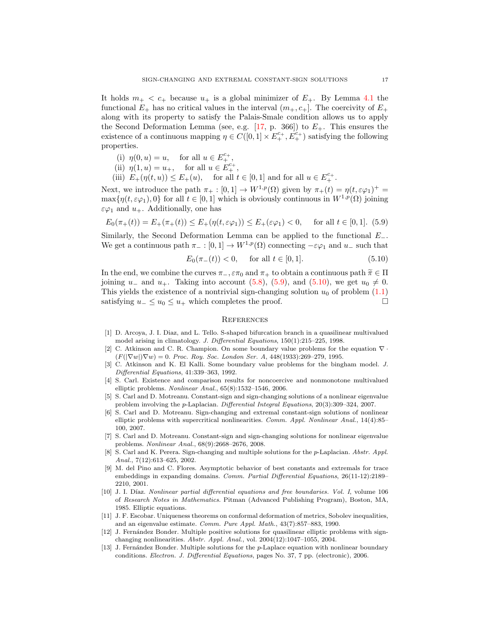It holds  $m_+ < c_+$  because  $u_+$  is a global minimizer of  $E_+$ . By Lemma [4.1](#page-11-2) the functional  $E_+$  has no critical values in the interval  $(m_+, c_+]$ . The coercivity of  $E_+$ along with its property to satisfy the Palais-Smale condition allows us to apply the Second Deformation Lemma (see, e.g.  $[17, p. 366]$  $[17, p. 366]$ ) to  $E_{+}$ . This ensures the existence of a continuous mapping  $\eta \in C([0,1] \times E^{c_+}_+, E^{c_+}_+)$  satisfying the following properties.

- (i)  $\eta(0, u) = u$ , for all  $u \in E_{+}^{c_{+}},$
- (ii)  $\eta(1, u) = u_+,$  for all  $u \in E_+^{c_+},$
- (iii)  $E_{+}(\eta(t, u)) \leq E_{+}(u)$ , for all  $t \in [0, 1]$  and for all  $u \in E_{+}^{c_{+}}$ .

Next, we introduce the path  $\pi_+ : [0,1] \to W^{1,p}(\Omega)$  given by  $\pi_+(t) = \eta(t, \varepsilon \varphi_1)^+$  $\max\{\eta(t,\varepsilon\varphi_1),0\}$  for all  $t\in[0,1]$  which is obviously continuous in  $W^{1,p}(\Omega)$  joining  $\varepsilon\varphi_1$  and  $u_+$ . Additionally, one has

$$
E_0(\pi_+(t)) = E_+(\pi_+(t)) \le E_+(\eta(t, \varepsilon \varphi_1)) \le E_+(\varepsilon \varphi_1) < 0, \quad \text{ for all } t \in [0, 1]. \tag{5.9}
$$

Similarly, the Second Deformation Lemma can be applied to the functional  $E_-\$ . We get a continuous path  $\pi_-\colon [0,1]\to W^{1,p}(\Omega)$  connecting  $-\varepsilon\varphi_1$  and  $u_-\text{ such that}$ 

$$
E_0(\pi_-(t)) < 0, \quad \text{ for all } t \in [0, 1]. \tag{5.10}
$$

In the end, we combine the curves  $\pi_-, \varepsilon \pi_0$  and  $\pi_+$  to obtain a continuous path  $\widetilde{\pi} \in \Pi$ joining  $u_-\,$  and  $u_+$ . Taking into account [\(5.8\)](#page-15-3), [\(5.9\)](#page-16-13), and [\(5.10\)](#page-16-14), we get  $u_0 \neq 0$ . This yields the existence of a nontrivial sign-changing solution  $u_0$  of problem  $(1.1)$ satisfying  $u_-\leq u_0 \leq u_+$  which completes the proof. □

### <span id="page-16-14"></span><span id="page-16-13"></span>**REFERENCES**

- <span id="page-16-3"></span>[1] D. Arcoya, J. I. Diaz, and L. Tello. S-shaped bifurcation branch in a quasilinear multivalued model arising in climatology. J. Differential Equations, 150(1):215–225, 1998.
- <span id="page-16-5"></span>[2] C. Atkinson and C. R. Champion. On some boundary value problems for the equation  $\nabla \cdot$  $(F(|\nabla w|)\nabla w) = 0$ . Proc. Roy. Soc. London Ser. A, 448(1933):269–279, 1995.
- <span id="page-16-4"></span>[3] C. Atkinson and K. El Kalli. Some boundary value problems for the bingham model. J. Differential Equations, 41:339–363, 1992.
- <span id="page-16-12"></span>[4] S. Carl. Existence and comparison results for noncoercive and nonmonotone multivalued elliptic problems. Nonlinear Anal., 65(8):1532–1546, 2006.
- <span id="page-16-8"></span>[5] S. Carl and D. Motreanu. Constant-sign and sign-changing solutions of a nonlinear eigenvalue problem involving the p-Laplacian. Differential Integral Equations, 20(3):309–324, 2007.
- <span id="page-16-9"></span>[6] S. Carl and D. Motreanu. Sign-changing and extremal constant-sign solutions of nonlinear elliptic problems with supercritical nonlinearities. Comm. Appl. Nonlinear Anal., 14(4):85– 100, 2007.
- <span id="page-16-10"></span>[7] S. Carl and D. Motreanu. Constant-sign and sign-changing solutions for nonlinear eigenvalue problems. Nonlinear Anal., 68(9):2668–2676, 2008.
- <span id="page-16-11"></span>[8] S. Carl and K. Perera. Sign-changing and multiple solutions for the p-Laplacian. Abstr. Appl. Anal., 7(12):613–625, 2002.
- <span id="page-16-1"></span>[9] M. del Pino and C. Flores. Asymptotic behavior of best constants and extremals for trace embeddings in expanding domains. Comm. Partial Differential Equations, 26(11-12):2189– 2210, 2001.
- <span id="page-16-6"></span>[10] J. I. Díaz. Nonlinear partial differential equations and free boundaries. Vol. I, volume 106 of Research Notes in Mathematics. Pitman (Advanced Publishing Program), Boston, MA, 1985. Elliptic equations.
- <span id="page-16-0"></span>[11] J. F. Escobar. Uniqueness theorems on conformal deformation of metrics, Sobolev inequalities, and an eigenvalue estimate. Comm. Pure Appl. Math., 43(7):857–883, 1990.
- <span id="page-16-7"></span>[12] J. Fernández Bonder. Multiple positive solutions for quasilinear elliptic problems with signchanging nonlinearities. Abstr. Appl. Anal., vol. 2004(12):1047–1055, 2004.
- <span id="page-16-2"></span>[13] J. Fernández Bonder. Multiple solutions for the p-Laplace equation with nonlinear boundary conditions. Electron. J. Differential Equations, pages No. 37, 7 pp. (electronic), 2006.